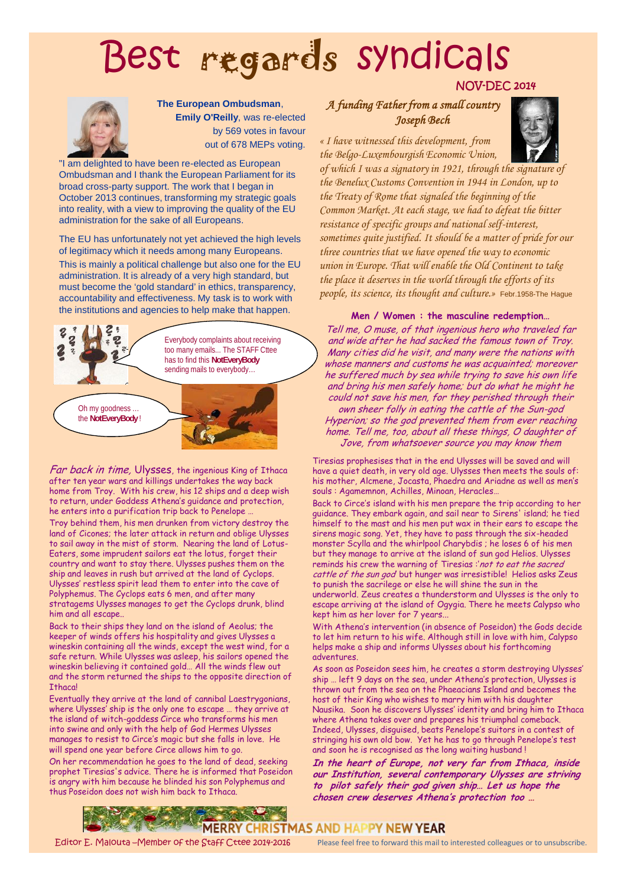# Best regards syndicals



#### **The European Ombudsman**,

**Emily O'Reilly**, was re-elected by 569 votes in favour out of 678 MEPs voting.

"I am delighted to have been re-elected as European Ombudsman and I thank the European Parliament for its broad cross-party support. The work that I began in October 2013 continues, transforming my strategic goals into reality, with a view to improving the quality of the EU administration for the sake of all Europeans.

The EU has unfortunately not yet achieved the high levels of legitimacy which it needs among many Europeans. This is mainly a political challenge but also one for the EU administration. It is already of a very high standard, but must become the 'gold standard' in ethics, transparency, accountability and effectiveness. My task is to work with the institutions and agencies to help make that happen.



*Far back in time,* Ulysses, the ingenious King of Ithaca after ten year wars and killings undertakes the way back home from Troy. With his crew, his 12 ships and a deep wish to return, under Goddess Athena's guidance and protection, he enters into a purification trip back to Penelope … Troy behind them, his men drunken from victory destroy the land of Cicones; the later attack in return and oblige Ulysses to sail away in the mist of storm. Nearing the land of Lotus- Eaters, some imprudent sailors eat the lotus, forget their country and want to stay there. Ulysses pushes them on the ship and leaves in rush but arrived at the land of Cyclops. Ulysses' restless spirit lead them to enter into the cave of

Polyphemus. The Cyclops eats 6 men, and after many stratagems Ulysses manages to get the Cyclops drunk, blind him and all escape..

Back to their ships they land on the island of Aeolus; the keeper of winds offers his hospitality and gives Ulysses a wineskin containing all the winds, except the west wind, for a safe return. While Ulysses was asleep, his sailors opened the wineskin believing it contained gold… All the winds flew out and the storm returned the ships to the opposite direction of T<sub>thaca</sub>

Eventually they arrive at the land of cannibal Laestrygonians, where Ulysses' ship is the only one to escape … they arrive at the island of witch-goddess Circe who transforms his men into swine and only with the help of God Hermes Ulysses manages to resist to Circe's magic but she falls in love. He will spend one year before Circe allows him to go.

On her recommendation he goes to the land of dead, seeking prophet Tiresias's advice. There he is informed that Poseidon is angry with him because he blinded his son Polyphemus and thus Poseidon does not wish him back to Ithaca.

## **NOV-DEC 2014**

### **A funding Father from a small country Joseph Bech**

« I have witnessed this development, from the Belgo-Luxembourgish Economic Union,



of which I was a signatory in 1921, through the signature of the Benelux Customs Convention in 1944 in London, up to the Treaty of Rome that signaled the beginning of the Common Market. At each stage, we had to defeat the bitter resistance of specific groups and national self-interest, sometimes quite justified. It should be a matter of pride for our three countries that we have opened the way to economic union in Europe. That will enable the Old Continent to take the place it deserves in the world through the efforts of its people, its science, its thought and culture.» Febr.1958-The Hague

**Men / Women : the masculine redemption…**

*Tell me, O muse, of that ingenious hero who traveled far and wide after he had sacked the famous town of Troy. Many cities did he visit, and many were the nations with whose manners and customs he was acquainted; moreover he suffered much by sea while trying to save his own life and bring his men safely home; but do what he might he could not save his men, for they perished through their own sheer folly in eating the cattle of the Sun-god Hyperion; so the god prevented them from ever reaching home. Tell me, too, about all these things, O daughter of Jove, from whatsoever source you may know them*

Tiresias prophesises that in the end Ulysses will be saved and will have a quiet death, in very old age. Ulysses then meets the souls of: his mother, Alcmene, Jocasta, Phaedra and Ariadne as well as men's souls : Agamemnon, Achilles, Minoan, Heracles…

Back to Circe's island with his men prepare the trip according to her guidance. They embark again, and sail near to Sirens' island; he tied himself to the mast and his men put wax in their ears to escape the sirens magic song. Yet, they have to pass through the six-headed monster Scylla and the whirlpool Charybdis ; he loses 6 of his men but they manage to arrive at the island of sun god Helios. Ulysses reminds his crew the warning of Tiresias :'*not to eat the sacred cattle of the sun god*' but hunger was irresistible! Helios asks Zeus to punish the sacrilege or else he will shine the sun in the underworld. Zeus creates a thunderstorm and Ulysses is the only to escape arriving at the island of Ogygia. There he meets Calypso who kept him as her lover for 7 years...

With Athena's intervention (in absence of Poseidon) the Gods decide to let him return to his wife. Although still in love with him, Calypso helps make a ship and informs Ulysses about his forthcoming adventures.

As soon as Poseidon sees him, he creates a storm destroying Ulysses' ship … left 9 days on the sea, under Athena's protection, Ulysses is thrown out from the sea on the Phaeacians Island and becomes the host of their King who wishes to marry him with his daughter Nausika. Soon he discovers Ulysses' identity and bring him to Ithaca where Athena takes over and prepares his triumphal comeback. Indeed, Ulysses, disguised, beats Penelope's suitors in a contest of stringing his own old bow. Yet he has to go through Penelope's test and soon he is recognised as the long waiting husband !

*In the heart of Europe, not very far from Ithaca, inside our Institution, several contemporary Ulysses are striving to pilot safely their god given ship… Let us hope the chosen crew deserves Athena's protection too …*



Editor E. Malouta – Member of the Staff Cttee 2014-2016 Please feel free to forward this mail to interested colleagues or to unsubscribe.